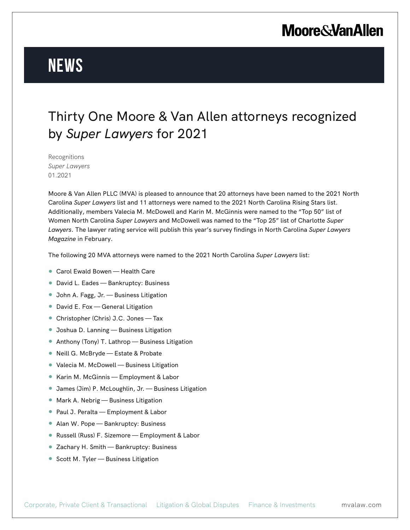# **Moore & Van Allen**

# **News**

### Thirty One Moore & Van Allen attorneys recognized by *Super Lawyers* for 2021

Recognitions *Super Lawyers* 01.2021

Moore & Van Allen PLLC (MVA) is pleased to announce that 20 attorneys have been named to the 2021 North Carolina *Super Lawyers* list and 11 attorneys were named to the 2021 North Carolina Rising Stars list. Additionally, members Valecia M. McDowell and Karin M. McGinnis were named to the "Top 50" list of Women North Carolina *Super Lawyers* and McDowell was named to the "Top 25" list of Charlotte *Super Lawyers*. The lawyer rating service will publish this year's survey findings in North Carolina *Super Lawyers Magazine* in February.

The following 20 MVA attorneys were named to the 2021 North Carolina *Super Lawyers* list:

- Carol Ewald Bowen Health Care
- David L. Eades Bankruptcy: Business
- John A. Fagg, Jr. Business Litigation
- David E. Fox General Litigation
- Christopher (Chris) J.C. Jones Tax
- Joshua D. Lanning Business Litigation
- Anthony (Tony) T. Lathrop Business Litigation
- Neill G. McBryde Estate & Probate
- Valecia M. McDowell Business Litigation
- Karin M. McGinnis Employment & Labor
- James (Jim) P. McLoughlin, Jr. Business Litigation
- Mark A. Nebrig Business Litigation
- Paul J. Peralta Employment & Labor
- Alan W. Pope Bankruptcy: Business
- Russell (Russ) F. Sizemore Employment & Labor
- Zachary H. Smith Bankruptcy: Business
- Scott M. Tyler Business Litigation